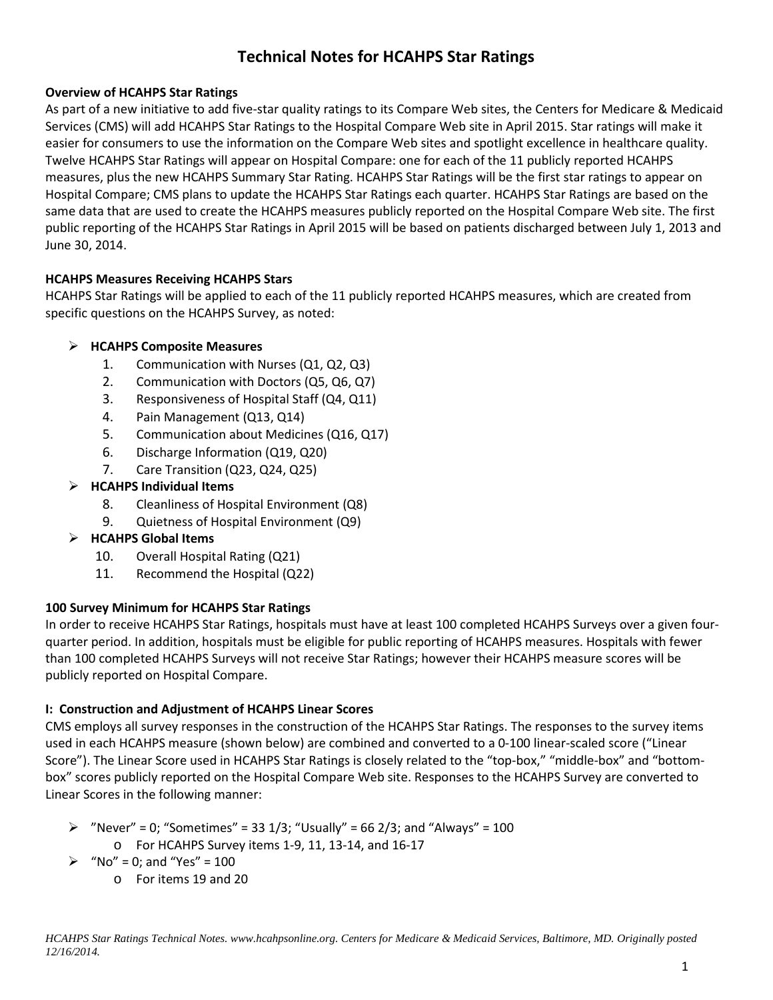# **Technical Notes for HCAHPS Star Ratings**

# **Overview of HCAHPS Star Ratings**

As part of a new initiative to add five-star quality ratings to its Compare Web sites, the Centers for Medicare & Medicaid Services (CMS) will add HCAHPS Star Ratings to the Hospital Compare Web site in April 2015. Star ratings will make it easier for consumers to use the information on the Compare Web sites and spotlight excellence in healthcare quality. Twelve HCAHPS Star Ratings will appear on Hospital Compare: one for each of the 11 publicly reported HCAHPS measures, plus the new HCAHPS Summary Star Rating. HCAHPS Star Ratings will be the first star ratings to appear on Hospital Compare; CMS plans to update the HCAHPS Star Ratings each quarter. HCAHPS Star Ratings are based on the same data that are used to create the HCAHPS measures publicly reported on the Hospital Compare Web site. The first public reporting of the HCAHPS Star Ratings in April 2015 will be based on patients discharged between July 1, 2013 and June 30, 2014.

# **HCAHPS Measures Receiving HCAHPS Stars**

HCAHPS Star Ratings will be applied to each of the 11 publicly reported HCAHPS measures, which are created from specific questions on the HCAHPS Survey, as noted:

# **HCAHPS Composite Measures**

- 1. Communication with Nurses (Q1, Q2, Q3)
- 2. Communication with Doctors (Q5, Q6, Q7)
- 3. Responsiveness of Hospital Staff (Q4, Q11)
- 4. Pain Management (Q13, Q14)
- 5. Communication about Medicines (Q16, Q17)
- 6. Discharge Information (Q19, Q20)
- 7. Care Transition (Q23, Q24, Q25)

# **HCAHPS Individual Items**

- 8. Cleanliness of Hospital Environment (Q8)
- 9. Quietness of Hospital Environment (Q9)
- **HCAHPS Global Items** 
	- 10. Overall Hospital Rating (Q21)
	- 11. Recommend the Hospital (Q22)

# **100 Survey Minimum for HCAHPS Star Ratings**

In order to receive HCAHPS Star Ratings, hospitals must have at least 100 completed HCAHPS Surveys over a given fourquarter period. In addition, hospitals must be eligible for public reporting of HCAHPS measures. Hospitals with fewer than 100 completed HCAHPS Surveys will not receive Star Ratings; however their HCAHPS measure scores will be publicly reported on Hospital Compare.

# **I: Construction and Adjustment of HCAHPS Linear Scores**

CMS employs all survey responses in the construction of the HCAHPS Star Ratings. The responses to the survey items used in each HCAHPS measure (shown below) are combined and converted to a 0-100 linear-scaled score ("Linear Score"). The Linear Score used in HCAHPS Star Ratings is closely related to the "top-box," "middle-box" and "bottombox" scores publicly reported on the Hospital Compare Web site. Responses to the HCAHPS Survey are converted to Linear Scores in the following manner:

- $\triangleright$  "Never" = 0; "Sometimes" = 33 1/3; "Usually" = 66 2/3; and "Always" = 100
	- o For HCAHPS Survey items 1-9, 11, 13-14, and 16-17
- $\triangleright$  "No" = 0; and "Yes" = 100
	- o For items 19 and 20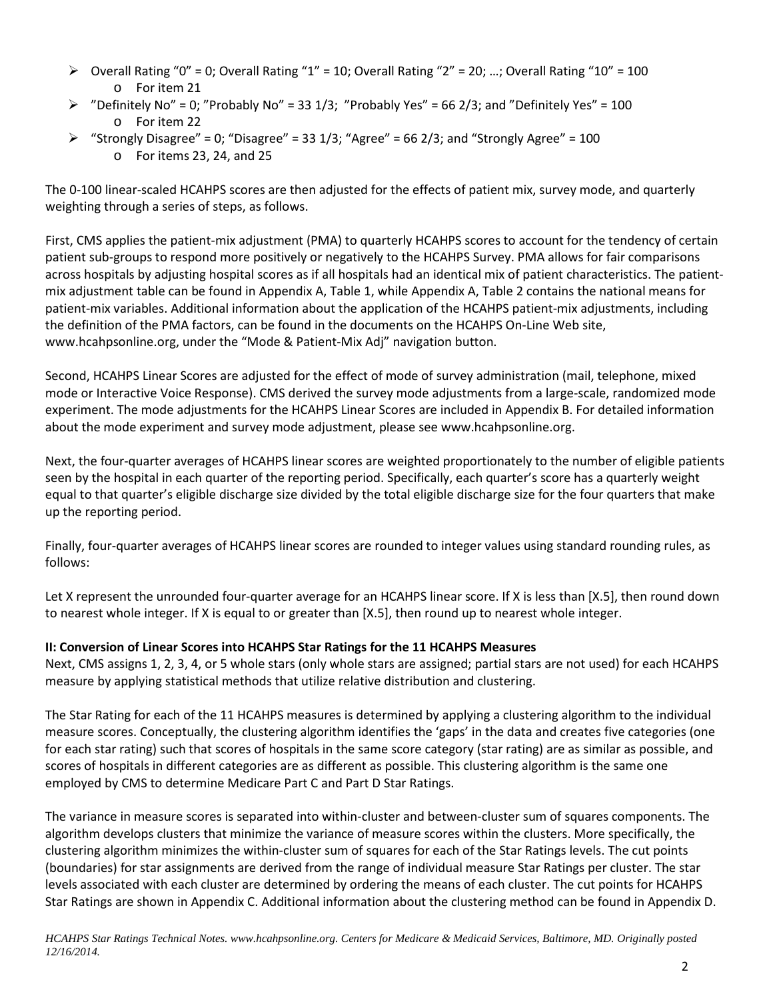- $\triangleright$  Overall Rating "0" = 0; Overall Rating "1" = 10; Overall Rating "2" = 20; ...; Overall Rating "10" = 100 o For item 21
- $\triangleright$  "Definitely No" = 0; "Probably No" = 33 1/3; "Probably Yes" = 66 2/3; and "Definitely Yes" = 100 o For item 22
- $\triangleright$  "Strongly Disagree" = 0; "Disagree" = 33 1/3; "Agree" = 66 2/3; and "Strongly Agree" = 100 o For items 23, 24, and 25

The 0-100 linear-scaled HCAHPS scores are then adjusted for the effects of patient mix, survey mode, and quarterly weighting through a series of steps, as follows.

First, CMS applies the patient-mix adjustment (PMA) to quarterly HCAHPS scores to account for the tendency of certain patient sub-groups to respond more positively or negatively to the HCAHPS Survey. PMA allows for fair comparisons across hospitals by adjusting hospital scores as if all hospitals had an identical mix of patient characteristics. The patientmix adjustment table can be found in Appendix A, Table 1, while Appendix A, Table 2 contains the national means for patient-mix variables. Additional information about the application of the HCAHPS patient-mix adjustments, including the definition of the PMA factors, can be found in the documents on the HCAHPS On-Line Web site, [www.hcahpsonline.org,](http://www.hcahpsonline.org/) under the "Mode & Patient-Mix Adj" navigation button.

Second, HCAHPS Linear Scores are adjusted for the effect of mode of survey administration (mail, telephone, mixed mode or Interactive Voice Response). CMS derived the survey mode adjustments from a large-scale, randomized mode experiment. The mode adjustments for the HCAHPS Linear Scores are included in Appendix B. For detailed information about the mode experiment and survey mode adjustment, please see [www.hcahpsonline.org.](http://www.hcahpsonline.org/)

Next, the four-quarter averages of HCAHPS linear scores are weighted proportionately to the number of eligible patients seen by the hospital in each quarter of the reporting period. Specifically, each quarter's score has a quarterly weight equal to that quarter's eligible discharge size divided by the total eligible discharge size for the four quarters that make up the reporting period.

Finally, four-quarter averages of HCAHPS linear scores are rounded to integer values using standard rounding rules, as follows:

Let X represent the unrounded four-quarter average for an HCAHPS linear score. If X is less than [X.5], then round down to nearest whole integer. If X is equal to or greater than [X.5], then round up to nearest whole integer.

# **II: Conversion of Linear Scores into HCAHPS Star Ratings for the 11 HCAHPS Measures**

Next, CMS assigns 1, 2, 3, 4, or 5 whole stars (only whole stars are assigned; partial stars are not used) for each HCAHPS measure by applying statistical methods that utilize relative distribution and clustering.

The Star Rating for each of the 11 HCAHPS measures is determined by applying a clustering algorithm to the individual measure scores. Conceptually, the clustering algorithm identifies the 'gaps' in the data and creates five categories (one for each star rating) such that scores of hospitals in the same score category (star rating) are as similar as possible, and scores of hospitals in different categories are as different as possible. This clustering algorithm is the same one employed by CMS to determine Medicare Part C and Part D Star Ratings.

The variance in measure scores is separated into within-cluster and between-cluster sum of squares components. The algorithm develops clusters that minimize the variance of measure scores within the clusters. More specifically, the clustering algorithm minimizes the within-cluster sum of squares for each of the Star Ratings levels. The cut points (boundaries) for star assignments are derived from the range of individual measure Star Ratings per cluster. The star levels associated with each cluster are determined by ordering the means of each cluster. The cut points for HCAHPS Star Ratings are shown in Appendix C. Additional information about the clustering method can be found in Appendix D.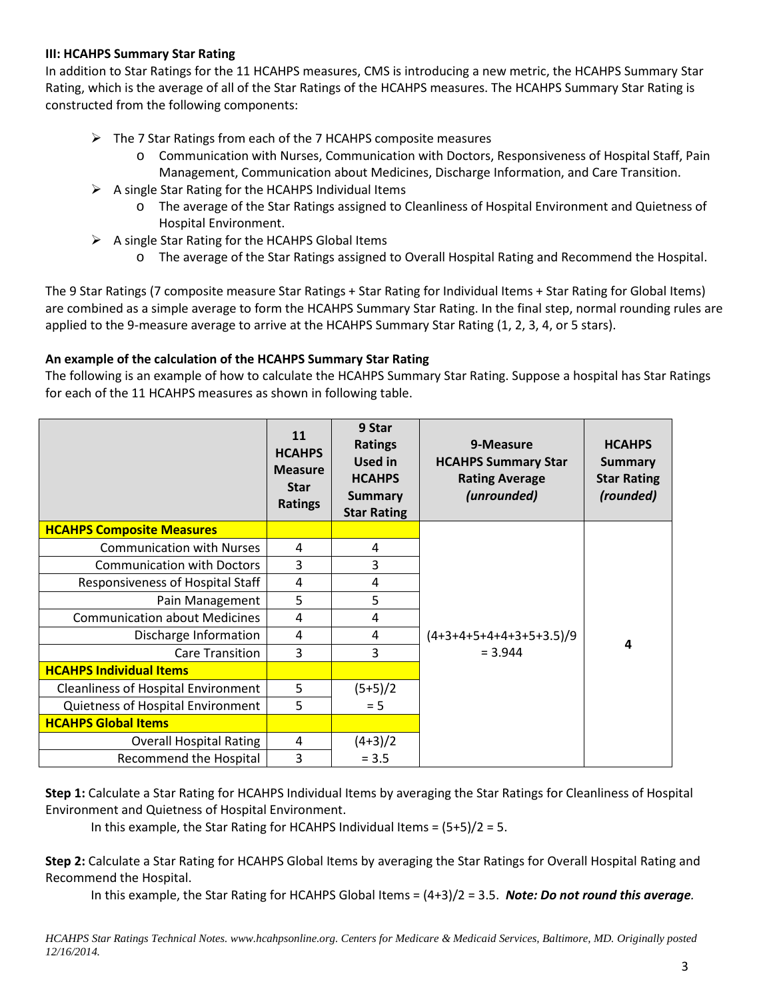#### **III: HCAHPS Summary Star Rating**

In addition to Star Ratings for the 11 HCAHPS measures, CMS is introducing a new metric, the HCAHPS Summary Star Rating, which is the average of all of the Star Ratings of the HCAHPS measures. The HCAHPS Summary Star Rating is constructed from the following components:

- $\triangleright$  The 7 Star Ratings from each of the 7 HCAHPS composite measures
	- o Communication with Nurses, Communication with Doctors, Responsiveness of Hospital Staff, Pain Management, Communication about Medicines, Discharge Information, and Care Transition.
- $\triangleright$  A single Star Rating for the HCAHPS Individual Items
	- o The average of the Star Ratings assigned to Cleanliness of Hospital Environment and Quietness of Hospital Environment.
- $\triangleright$  A single Star Rating for the HCAHPS Global Items
	- o The average of the Star Ratings assigned to Overall Hospital Rating and Recommend the Hospital.

The 9 Star Ratings (7 composite measure Star Ratings + Star Rating for Individual Items + Star Rating for Global Items) are combined as a simple average to form the HCAHPS Summary Star Rating. In the final step, normal rounding rules are applied to the 9-measure average to arrive at the HCAHPS Summary Star Rating (1, 2, 3, 4, or 5 stars).

# **An example of the calculation of the HCAHPS Summary Star Rating**

The following is an example of how to calculate the HCAHPS Summary Star Rating. Suppose a hospital has Star Ratings for each of the 11 HCAHPS measures as shown in following table.

|                                            | 11<br><b>HCAHPS</b><br><b>Measure</b><br><b>Star</b><br><b>Ratings</b> | 9 Star<br><b>Ratings</b><br>Used in<br><b>HCAHPS</b><br><b>Summary</b><br><b>Star Rating</b> | 9-Measure<br><b>HCAHPS Summary Star</b><br><b>Rating Average</b><br>(unrounded) | <b>HCAHPS</b><br><b>Summary</b><br><b>Star Rating</b><br>(rounded) |
|--------------------------------------------|------------------------------------------------------------------------|----------------------------------------------------------------------------------------------|---------------------------------------------------------------------------------|--------------------------------------------------------------------|
| <b>HCAHPS Composite Measures</b>           |                                                                        |                                                                                              |                                                                                 |                                                                    |
| <b>Communication with Nurses</b>           | 4                                                                      | 4                                                                                            |                                                                                 |                                                                    |
| <b>Communication with Doctors</b>          | 3                                                                      | 3                                                                                            |                                                                                 |                                                                    |
| Responsiveness of Hospital Staff           | 4                                                                      | 4                                                                                            |                                                                                 |                                                                    |
| Pain Management                            | 5                                                                      | 5                                                                                            |                                                                                 |                                                                    |
| <b>Communication about Medicines</b>       | 4                                                                      | 4                                                                                            |                                                                                 |                                                                    |
| Discharge Information                      | 4                                                                      | 4                                                                                            | $(4+3+4+5+4+4+3+5+3.5)/9$                                                       | Δ                                                                  |
| Care Transition                            | 3                                                                      | 3                                                                                            | $= 3.944$                                                                       |                                                                    |
| <b>HCAHPS Individual Items</b>             |                                                                        |                                                                                              |                                                                                 |                                                                    |
| <b>Cleanliness of Hospital Environment</b> | 5                                                                      | $(5+5)/2$                                                                                    |                                                                                 |                                                                    |
| Quietness of Hospital Environment          | 5                                                                      | $= 5$                                                                                        |                                                                                 |                                                                    |
| <b>HCAHPS Global Items</b>                 |                                                                        |                                                                                              |                                                                                 |                                                                    |
| <b>Overall Hospital Rating</b>             | 4                                                                      | $(4+3)/2$                                                                                    |                                                                                 |                                                                    |
| Recommend the Hospital                     | 3                                                                      | $= 3.5$                                                                                      |                                                                                 |                                                                    |

**Step 1:** Calculate a Star Rating for HCAHPS Individual Items by averaging the Star Ratings for Cleanliness of Hospital Environment and Quietness of Hospital Environment.

In this example, the Star Rating for HCAHPS Individual Items = (5+5)/2 = 5.

**Step 2:** Calculate a Star Rating for HCAHPS Global Items by averaging the Star Ratings for Overall Hospital Rating and Recommend the Hospital.

In this example, the Star Rating for HCAHPS Global Items = (4+3)/2 = 3.5. *Note: Do not round this average.*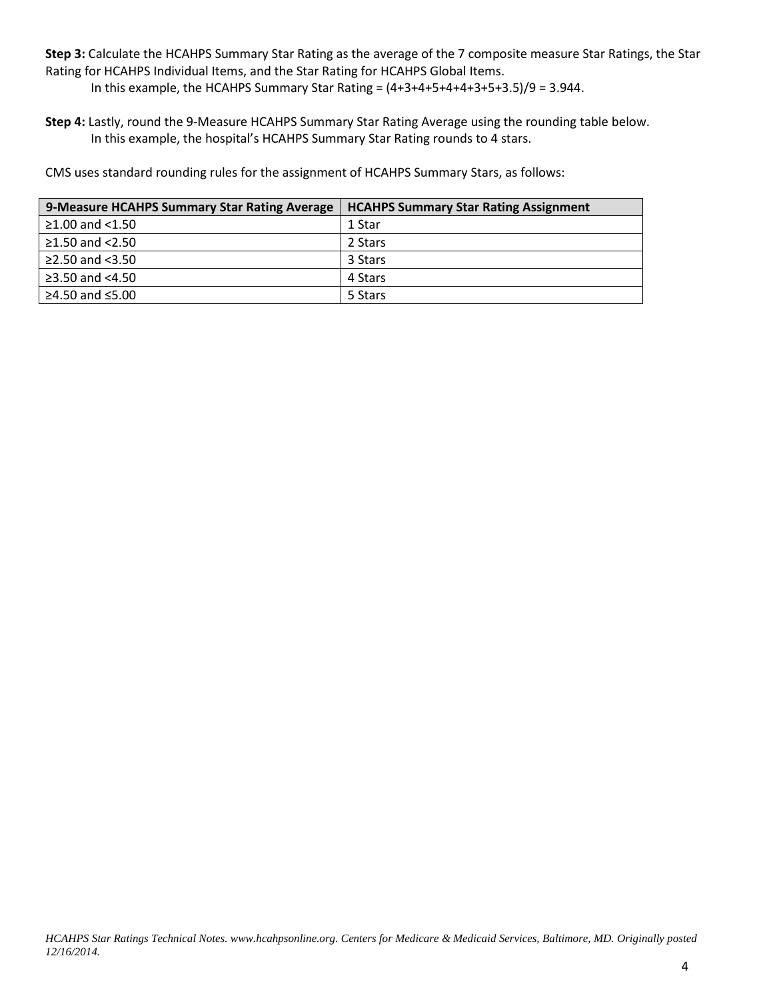**Step 3:** Calculate the HCAHPS Summary Star Rating as the average of the 7 composite measure Star Ratings, the Star Rating for HCAHPS Individual Items, and the Star Rating for HCAHPS Global Items.

In this example, the HCAHPS Summary Star Rating =  $(4+3+4+5+4+4+3+5+3.5)/9 = 3.944$ .

**Step 4:** Lastly, round the 9-Measure HCAHPS Summary Star Rating Average using the rounding table below. In this example, the hospital's HCAHPS Summary Star Rating rounds to 4 stars.

CMS uses standard rounding rules for the assignment of HCAHPS Summary Stars, as follows:

| 9-Measure HCAHPS Summary Star Rating Average | <b>HCAHPS Summary Star Rating Assignment</b> |
|----------------------------------------------|----------------------------------------------|
| $≥1.00$ and <1.50                            | 1 Star                                       |
| $\geq$ 1.50 and <2.50                        | 2 Stars                                      |
| ≥2.50 and $<3.50$                            | 3 Stars                                      |
| $\geq$ 3.50 and <4.50                        | 4 Stars                                      |
| ≥4.50 and $≤5.00$                            | 5 Stars                                      |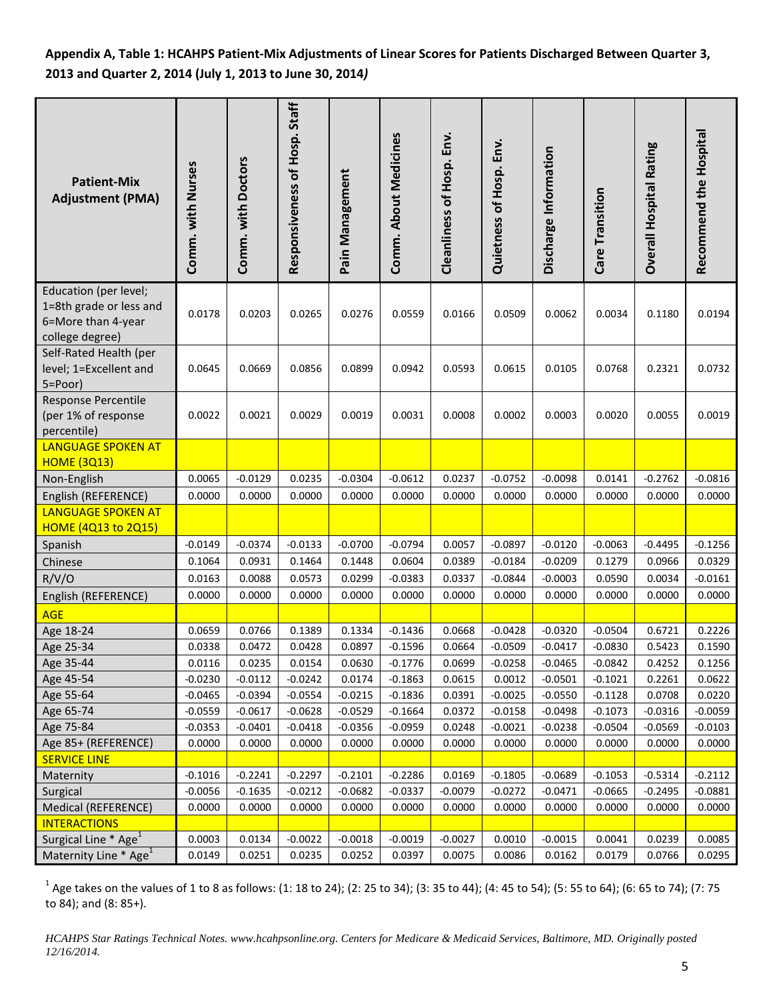**Appendix A, Table 1: HCAHPS Patient-Mix Adjustments of Linear Scores for Patients Discharged Between Quarter 3, 2013 and Quarter 2, 2014 (July 1, 2013 to June 30, 2014***)*

| <b>Patient-Mix</b><br><b>Adjustment (PMA)</b>                                             | Comm. with Nurses   | Comm. with Doctors  | Responsiveness of Hosp. Staff | Pain Management     | Comm. About Medicines | Cleanliness of Hosp. Env. | Quietness of Hosp. Env. | Discharge Information | Care Transition     | <b>Overall Hospital Rating</b> | Recommend the Hospital |
|-------------------------------------------------------------------------------------------|---------------------|---------------------|-------------------------------|---------------------|-----------------------|---------------------------|-------------------------|-----------------------|---------------------|--------------------------------|------------------------|
| Education (per level;<br>1=8th grade or less and<br>6=More than 4-year<br>college degree) | 0.0178              | 0.0203              | 0.0265                        | 0.0276              | 0.0559                | 0.0166                    | 0.0509                  | 0.0062                | 0.0034              | 0.1180                         | 0.0194                 |
| Self-Rated Health (per<br>level; 1=Excellent and<br>5=Poor)                               | 0.0645              | 0.0669              | 0.0856                        | 0.0899              | 0.0942                | 0.0593                    | 0.0615                  | 0.0105                | 0.0768              | 0.2321                         | 0.0732                 |
| Response Percentile<br>(per 1% of response<br>percentile)                                 | 0.0022              | 0.0021              | 0.0029                        | 0.0019              | 0.0031                | 0.0008                    | 0.0002                  | 0.0003                | 0.0020              | 0.0055                         | 0.0019                 |
| <b>LANGUAGE SPOKEN AT</b>                                                                 |                     |                     |                               |                     |                       |                           |                         |                       |                     |                                |                        |
| <b>HOME (3Q13)</b>                                                                        |                     |                     |                               |                     |                       |                           |                         |                       |                     |                                |                        |
| Non-English                                                                               | 0.0065              | $-0.0129$           | 0.0235                        | $-0.0304$           | $-0.0612$             | 0.0237                    | $-0.0752$               | $-0.0098$             | 0.0141              | $-0.2762$                      | $-0.0816$              |
| English (REFERENCE)                                                                       | 0.0000              | 0.0000              | 0.0000                        | 0.0000              | 0.0000                | 0.0000                    | 0.0000                  | 0.0000                | 0.0000              | 0.0000                         | 0.0000                 |
| <b>LANGUAGE SPOKEN AT</b><br><b>HOME (4Q13 to 2Q15)</b>                                   |                     |                     |                               |                     |                       |                           |                         |                       |                     |                                |                        |
| Spanish                                                                                   | $-0.0149$           | $-0.0374$           | $-0.0133$                     | $-0.0700$           | $-0.0794$             | 0.0057                    | $-0.0897$               | $-0.0120$             | $-0.0063$           | $-0.4495$                      | $-0.1256$              |
| Chinese                                                                                   | 0.1064              | 0.0931              | 0.1464                        | 0.1448              | 0.0604                | 0.0389                    | $-0.0184$               | $-0.0209$             | 0.1279              | 0.0966                         | 0.0329                 |
| R/V/O                                                                                     | 0.0163              | 0.0088              | 0.0573                        | 0.0299              | $-0.0383$             | 0.0337                    | $-0.0844$               | $-0.0003$             | 0.0590              | 0.0034                         | $-0.0161$              |
| English (REFERENCE)                                                                       | 0.0000              | 0.0000              | 0.0000                        | 0.0000              | 0.0000                | 0.0000                    | 0.0000                  | 0.0000                | 0.0000              | 0.0000                         | 0.0000                 |
| <b>AGE</b>                                                                                |                     |                     |                               |                     |                       |                           |                         |                       |                     |                                |                        |
| Age 18-24                                                                                 | 0.0659              | 0.0766              | 0.1389                        | 0.1334              | $-0.1436$             | 0.0668                    | $-0.0428$               | $-0.0320$             | $-0.0504$           | 0.6721                         | 0.2226                 |
| Age 25-34                                                                                 | 0.0338              | 0.0472              | 0.0428                        | 0.0897              | $-0.1596$             | 0.0664                    | $-0.0509$               | $-0.0417$             | $-0.0830$           | 0.5423                         | 0.1590                 |
| Age 35-44                                                                                 | 0.0116              | 0.0235              | 0.0154                        | 0.0630              | $-0.1776$             | 0.0699                    | $-0.0258$               | $-0.0465$             | $-0.0842$           | 0.4252                         | 0.1256                 |
| Age 45-54                                                                                 | $-0.0230$           | $-0.0112$           | $-0.0242$                     | 0.0174              | $-0.1863$             | 0.0615                    | 0.0012                  | $-0.0501$             | $-0.1021$           | 0.2261                         | 0.0622                 |
| Age 55-64                                                                                 | $-0.0465$           | $-0.0394$           | $-0.0554$                     | $-0.0215$           | $-0.1836$             | 0.0391                    | $-0.0025$               | $-0.0550$             | $-0.1128$           | 0.0708                         | 0.0220                 |
| Age 65-74                                                                                 | $-0.0559$           | $-0.0617$           | $-0.0628$                     | $-0.0529$           | $-0.1664$             | 0.0372                    | $-0.0158$               | $-0.0498$             | $-0.1073$           | $-0.0316$                      | $-0.0059$              |
| Age 75-84                                                                                 | $-0.0353$           | $-0.0401$           | $-0.0418$                     | $-0.0356$           | $-0.0959$             | 0.0248                    | $-0.0021$               | $-0.0238$             | $-0.0504$           | $-0.0569$                      | $-0.0103$              |
| Age 85+ (REFERENCE)                                                                       | 0.0000              | 0.0000              | 0.0000                        | 0.0000              | 0.0000                | 0.0000                    | 0.0000                  | 0.0000                | 0.0000              | 0.0000                         | 0.0000                 |
| <b>SERVICE LINE</b>                                                                       |                     |                     |                               |                     |                       |                           |                         |                       |                     |                                |                        |
| Maternity                                                                                 | $-0.1016$           | $-0.2241$           | $-0.2297$                     | $-0.2101$           | $-0.2286$             | 0.0169                    | $-0.1805$               | $-0.0689$             | $-0.1053$           | $-0.5314$                      | $-0.2112$              |
| Surgical<br>Medical (REFERENCE)                                                           | $-0.0056$<br>0.0000 | $-0.1635$<br>0.0000 | $-0.0212$<br>0.0000           | $-0.0682$<br>0.0000 | $-0.0337$<br>0.0000   | $-0.0079$<br>0.0000       | $-0.0272$<br>0.0000     | $-0.0471$<br>0.0000   | $-0.0665$<br>0.0000 | $-0.2495$<br>0.0000            | -0.0881<br>0.0000      |
| <b>INTERACTIONS</b>                                                                       |                     |                     |                               |                     |                       |                           |                         |                       |                     |                                |                        |
| Surgical Line $*$ Age <sup>1</sup>                                                        | 0.0003              | 0.0134              | $-0.0022$                     | $-0.0018$           | $-0.0019$             | $-0.0027$                 | 0.0010                  | $-0.0015$             | 0.0041              | 0.0239                         | 0.0085                 |
| Maternity Line * Age <sup>1</sup>                                                         | 0.0149              | 0.0251              | 0.0235                        | 0.0252              | 0.0397                | 0.0075                    | 0.0086                  | 0.0162                | 0.0179              | 0.0766                         | 0.0295                 |

 $1$  Age takes on the values of 1 to 8 as follows: (1: 18 to 24); (2: 25 to 34); (3: 35 to 44); (4: 45 to 54); (5: 55 to 64); (6: 65 to 74); (7: 75 to 84); and (8: 85+).

*HCAHPS Star Ratings Technical Notes. www.hcahpsonline.org. Centers for Medicare & Medicaid Services, Baltimore, MD. Originally posted 12/16/2014.*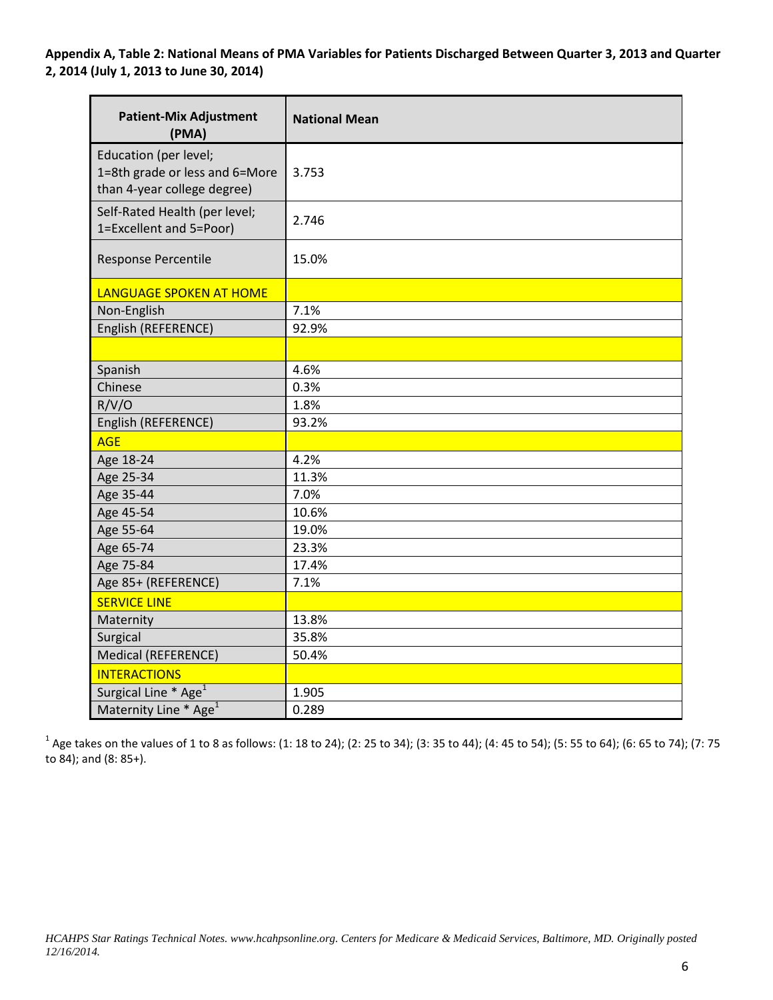**Appendix A, Table 2: National Means of PMA Variables for Patients Discharged Between Quarter 3, 2013 and Quarter 2, 2014 (July 1, 2013 to June 30, 2014)**

| <b>Patient-Mix Adjustment</b><br>(PMA)                                                 | <b>National Mean</b> |
|----------------------------------------------------------------------------------------|----------------------|
| Education (per level;<br>1=8th grade or less and 6=More<br>than 4-year college degree) | 3.753                |
| Self-Rated Health (per level;<br>1=Excellent and 5=Poor)                               | 2.746                |
| Response Percentile                                                                    | 15.0%                |
| <b>LANGUAGE SPOKEN AT HOME</b>                                                         |                      |
| Non-English                                                                            | 7.1%                 |
| English (REFERENCE)                                                                    | 92.9%                |
|                                                                                        |                      |
| Spanish                                                                                | 4.6%                 |
| Chinese                                                                                | 0.3%                 |
| R/V/O                                                                                  | 1.8%                 |
| English (REFERENCE)                                                                    | 93.2%                |
| <b>AGE</b>                                                                             |                      |
| Age 18-24                                                                              | 4.2%                 |
| Age 25-34                                                                              | 11.3%                |
| Age 35-44                                                                              | 7.0%                 |
| Age 45-54                                                                              | 10.6%                |
| Age 55-64                                                                              | 19.0%                |
| Age 65-74                                                                              | 23.3%                |
| Age 75-84                                                                              | 17.4%                |
| Age 85+ (REFERENCE)                                                                    | 7.1%                 |
| <b>SERVICE LINE</b>                                                                    |                      |
| Maternity                                                                              | 13.8%                |
| Surgical                                                                               | 35.8%                |
| Medical (REFERENCE)                                                                    | 50.4%                |
| <b>INTERACTIONS</b>                                                                    |                      |
| Surgical Line * Age <sup>1</sup>                                                       | 1.905                |
| Maternity Line * Age <sup>1</sup>                                                      | 0.289                |

 $1$  Age takes on the values of 1 to 8 as follows: (1: 18 to 24); (2: 25 to 34); (3: 35 to 44); (4: 45 to 54); (5: 55 to 64); (6: 65 to 74); (7: 75 to 84); and (8: 85+).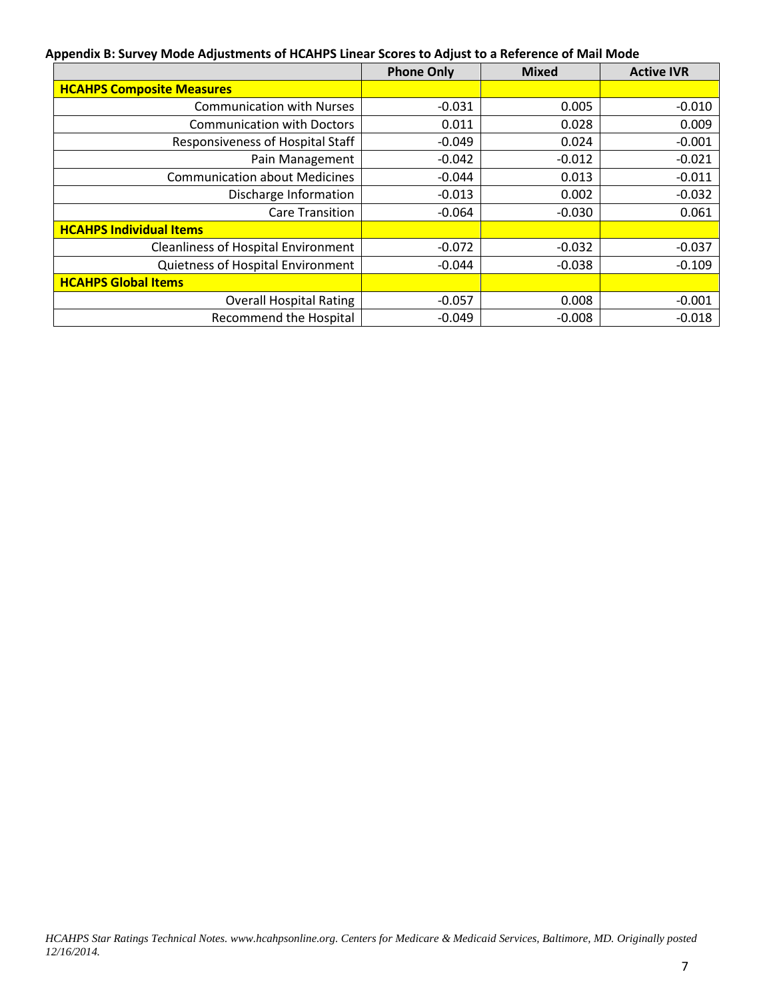#### **Appendix B: Survey Mode Adjustments of HCAHPS Linear Scores to Adjust to a Reference of Mail Mode**

|                                            | <b>Phone Only</b> | <b>Mixed</b> | <b>Active IVR</b> |  |  |
|--------------------------------------------|-------------------|--------------|-------------------|--|--|
| <b>HCAHPS Composite Measures</b>           |                   |              |                   |  |  |
| <b>Communication with Nurses</b>           | $-0.031$          | 0.005        | $-0.010$          |  |  |
| <b>Communication with Doctors</b>          | 0.011             | 0.028        | 0.009             |  |  |
| Responsiveness of Hospital Staff           | $-0.049$          | 0.024        | $-0.001$          |  |  |
| Pain Management                            | $-0.042$          | $-0.012$     | $-0.021$          |  |  |
| <b>Communication about Medicines</b>       | $-0.044$          | 0.013        | $-0.011$          |  |  |
| Discharge Information                      | $-0.013$          | 0.002        | $-0.032$          |  |  |
| <b>Care Transition</b>                     | $-0.064$          | $-0.030$     | 0.061             |  |  |
| <b>HCAHPS Individual Items</b>             |                   |              |                   |  |  |
| <b>Cleanliness of Hospital Environment</b> | $-0.072$          | $-0.032$     | $-0.037$          |  |  |
| Quietness of Hospital Environment          | $-0.044$          | $-0.038$     | $-0.109$          |  |  |
| <b>HCAHPS Global Items</b>                 |                   |              |                   |  |  |
| <b>Overall Hospital Rating</b>             | $-0.057$          | 0.008        | $-0.001$          |  |  |
| <b>Recommend the Hospital</b>              | $-0.049$          | $-0.008$     | $-0.018$          |  |  |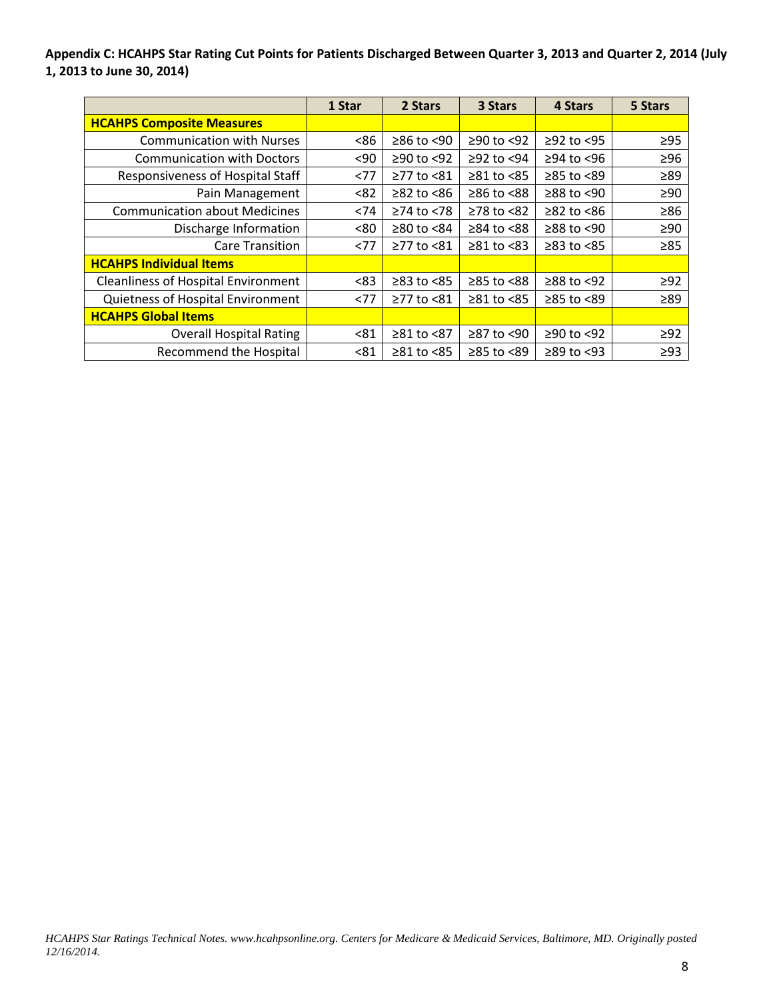**Appendix C: HCAHPS Star Rating Cut Points for Patients Discharged Between Quarter 3, 2013 and Quarter 2, 2014 (July 1, 2013 to June 30, 2014)**

|                                            | 1 Star | 2 Stars          | 3 Stars          | 4 Stars          | 5 Stars   |
|--------------------------------------------|--------|------------------|------------------|------------------|-----------|
| <b>HCAHPS Composite Measures</b>           |        |                  |                  |                  |           |
| <b>Communication with Nurses</b>           | <86    | $≥86$ to <90     | ≥90 to <92       | $≥92$ to <95     | $\geq$ 95 |
| <b>Communication with Doctors</b>          | $90$   | $≥90$ to <92     | $\geq$ 92 to <94 | $≥94$ to <96     | $\geq 96$ |
| Responsiveness of Hospital Staff           | <77    | ≥77 to <81       | $\geq 81$ to <85 | ≥85 to <89       | $\geq 89$ |
| Pain Management                            | < 82   | $≥82$ to <86     | $≥86$ to $≤88$   | $≥88$ to <90     | $\geq 90$ |
| <b>Communication about Medicines</b>       | < 74   | $\geq$ 74 to <78 | $≥78$ to $≤82$   | $\geq$ 82 to <86 | $\geq 86$ |
| Discharge Information                      | < 80   | $≥80$ to $<84$   | $\geq$ 84 to <88 | $≥88$ to <90     | $\geq 90$ |
| <b>Care Transition</b>                     | < 77   | ≥77 to <81       | $\geq 81$ to <83 | $\geq$ 83 to <85 | $\geq 85$ |
| <b>HCAHPS Individual Items</b>             |        |                  |                  |                  |           |
| <b>Cleanliness of Hospital Environment</b> | <83    | $\geq$ 83 to <85 | ≥85 to <88       | $≥88$ to <92     | $\geq$ 92 |
| Quietness of Hospital Environment          | <77    | ≥77 to <81       | $≥81$ to $<85$   | ≥85 to <89       | $\geq 89$ |
| <b>HCAHPS Global Items</b>                 |        |                  |                  |                  |           |
| <b>Overall Hospital Rating</b>             | < 81   | $≥81$ to $≤87$   | $≥87$ to <90     | $≥90$ to <92     | $\geq$ 92 |
| <b>Recommend the Hospital</b>              | < 81   | $≥81$ to $<85$   | $≥85$ to $<89$   | $\geq$ 89 to <93 | $\geq$ 93 |